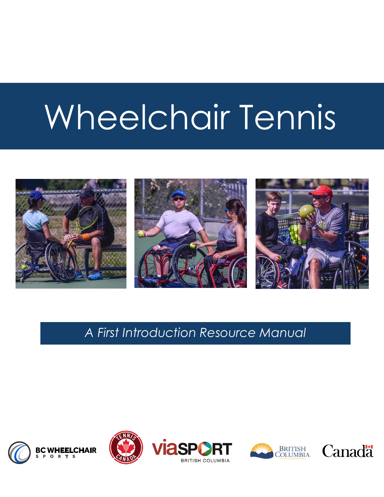# Wheelchair Tennis



*A First Introduction Resource Manual*







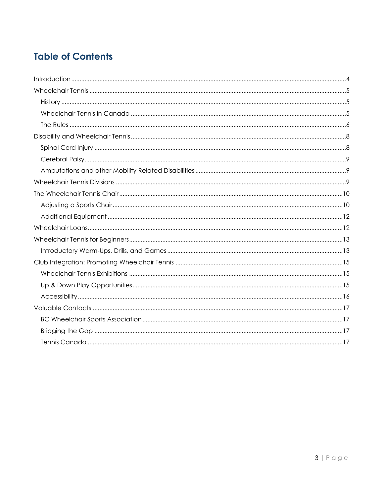# **Table of Contents**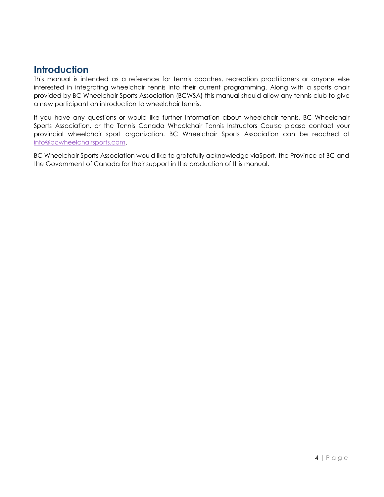# <span id="page-3-0"></span>**Introduction**

This manual is intended as a reference for tennis coaches, recreation practitioners or anyone else interested in integrating wheelchair tennis into their current programming. Along with a sports chair provided by BC Wheelchair Sports Association (BCWSA) this manual should allow any tennis club to give a new participant an introduction to wheelchair tennis.

If you have any questions or would like further information about wheelchair tennis, BC Wheelchair Sports Association, or the Tennis Canada Wheelchair Tennis Instructors Course please contact your provincial wheelchair sport organization. BC Wheelchair Sports Association can be reached at [info@bcwheelchairsports.com.](mailto:info@bcwheelchairsports.com) 

BC Wheelchair Sports Association would like to gratefully acknowledge viaSport, the Province of BC and the Government of Canada for their support in the production of this manual.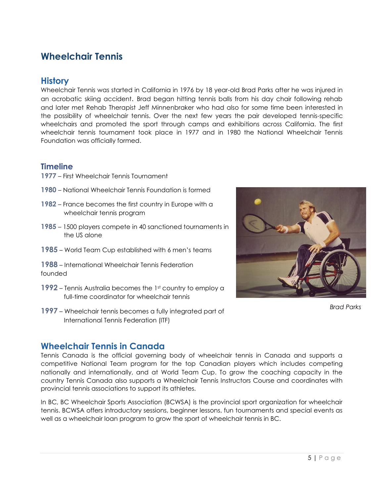# <span id="page-4-0"></span>**Wheelchair Tennis**

## <span id="page-4-1"></span>**History**

Wheelchair Tennis was started in California in 1976 by 18 year-old Brad Parks after he was injured in an acrobatic skiing accident. Brad began hitting tennis balls from his day chair following rehab and later met Rehab Therapist Jeff Minnenbraker who had also for some time been interested in the possibility of wheelchair tennis. Over the next few years the pair developed tennis-specific wheelchairs and promoted the sport through camps and exhibitions across California. The first wheelchair tennis tournament took place in 1977 and in 1980 the National Wheelchair Tennis Foundation was officially formed.

### **Timeline**

- **1977** First Wheelchair Tennis Tournament
- **1980** National Wheelchair Tennis Foundation is formed
- **1982** France becomes the first country in Europe with a wheelchair tennis program
- **1985** 1500 players compete in 40 sanctioned tournaments in the US alone
- **1985** World Team Cup established with 6 men's teams

**1988** – International Wheelchair Tennis Federation founded

- **1992** Tennis Australia becomes the 1st country to employ a full-time coordinator for wheelchair tennis
- **1997** Wheelchair tennis becomes a fully integrated part of International Tennis Federation (ITF)



*Brad Parks*

## <span id="page-4-2"></span>**Wheelchair Tennis in Canada**

Tennis Canada is the official governing body of wheelchair tennis in Canada and supports a competitive National Team program for the top Canadian players which includes competing nationally and internationally, and at World Team Cup. To grow the coaching capacity in the country Tennis Canada also supports a Wheelchair Tennis Instructors Course and coordinates with provincial tennis associations to support its athletes.

In BC, BC Wheelchair Sports Association (BCWSA) is the provincial sport organization for wheelchair tennis. BCWSA offers introductory sessions, beginner lessons, fun tournaments and special events as well as a wheelchair loan program to grow the sport of wheelchair tennis in BC.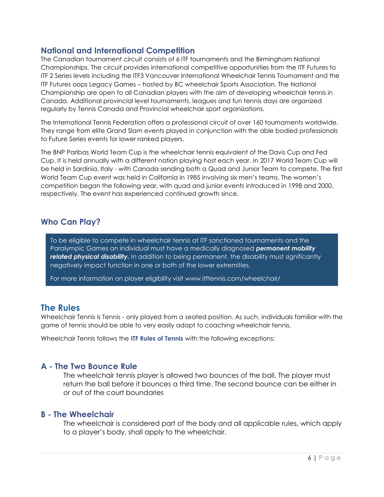## **National and International Competition**

The Canadian tournament circuit consists of 6 ITF tournaments and the Birmingham National Championships. The circuit provides international competitive opportunities from the ITF Futures to ITF 2 Series levels including the ITF3 Vancouver International Wheelchair Tennis Tournament and the ITF Futures oops Legacy Games – hosted by BC wheelchair Sports Association. The National Championship are open to all Canadian players with the aim of developing wheelchair tennis in Canada. Additional provincial level tournaments, leagues and fun tennis days are organized regularly by Tennis Canada and Provincial wheelchair sport organizations.

The International Tennis Federation offers a professional circuit of over 160 tournaments worldwide. They range from elite Grand Slam events played in conjunction with the able bodied professionals to Future Series events for lower ranked players.

The BNP Paribas World Team Cup is the wheelchair tennis equivalent of the Davis Cup and Fed Cup. It is held annually with a different nation playing host each year. In 2017 World Team Cup will be held in Sardinia, Italy - with Canada sending both a Quad and Junior Team to compete. The first World Team Cup event was held in California in 1985 involving six men's teams. The women's competition began the following year, with quad and junior events introduced in 1998 and 2000, respectively. The event has experienced continued growth since.

## **Who Can Play?**

To be eligible to compete in wheelchair tennis at ITF sanctioned tournaments and the Paralympic Games an individual must have a medically diagnosed *permanent mobility related physical disability.* In addition to being permanent, the disability must significantly negatively impact function in one or both of the lower extremities.

For more information on player eligibility visit www.itftennis.com/wheelchair/

## <span id="page-5-0"></span>**The Rules**

Wheelchair Tennis is Tennis - only played from a seated position. As such, individuals familiar with the game of tennis should be able to very easily adapt to coaching wheelchair tennis.

Wheelchair Tennis follows the **ITF Rules of Tennis** with the following exceptions:

## **A - The Two Bounce Rule**

The wheelchair tennis player is allowed two bounces of the ball. The player must return the ball before it bounces a third time. The second bounce can be either in or out of the court boundaries

#### **B - The Wheelchair**

The wheelchair is considered part of the body and all applicable rules, which apply to a player's body, shall apply to the wheelchair.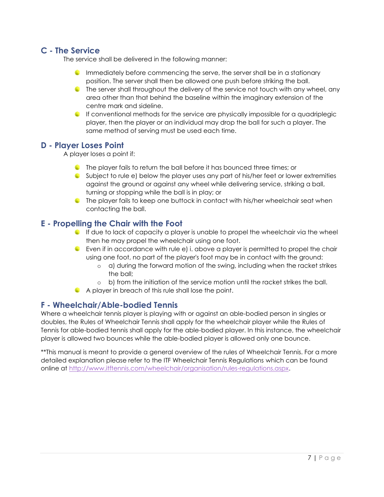## **C - The Service**

The service shall be delivered in the following manner:

- **Immediately before commencing the serve, the server shall be in a stationary** position. The server shall then be allowed one push before striking the ball.
- The server shall throughout the delivery of the service not touch with any wheel, any area other than that behind the baseline within the imaginary extension of the centre mark and sideline.
- If conventional methods for the service are physically impossible for a quadriplegic player, then the player or an individual may drop the ball for such a player. The same method of serving must be used each time.

#### **D - Player Loses Point**

A player loses a point if:

- The player fails to return the ball before it has bounced three times; or
- Subject to rule e) below the player uses any part of his/her feet or lower extremities against the ground or against any wheel while delivering service, striking a ball, turning or stopping while the ball is in play; or
- **C** The player fails to keep one buttock in contact with his/her wheelchair seat when contacting the ball.

### **E - Propelling the Chair with the Foot**

- $\bullet$  If due to lack of capacity a player is unable to propel the wheelchair via the wheel then he may propel the wheelchair using one foot.
- Even if in accordance with rule e) i. above a player is permitted to propel the chair using one foot, no part of the player's foot may be in contact with the ground:
	- o a) during the forward motion of the swing, including when the racket strikes the ball;
	- o b) from the initiation of the service motion until the racket strikes the ball.
- A player in breach of this rule shall lose the point.

#### **F - Wheelchair/Able-bodied Tennis**

Where a wheelchair tennis player is playing with or against an able-bodied person in singles or doubles, the Rules of Wheelchair Tennis shall apply for the wheelchair player while the Rules of Tennis for able-bodied tennis shall apply for the able-bodied player. In this instance, the wheelchair player is allowed two bounces while the able-bodied player is allowed only one bounce.

\*\*This manual is meant to provide a general overview of the rules of Wheelchair Tennis. For a more detailed explanation please refer to the ITF Wheelchair Tennis Regulations which can be found online at [http://www.itftennis.com/wheelchair/organisation/rules-regulations.aspx.](http://www.itftennis.com/wheelchair/organisation/rules-regulations.aspx)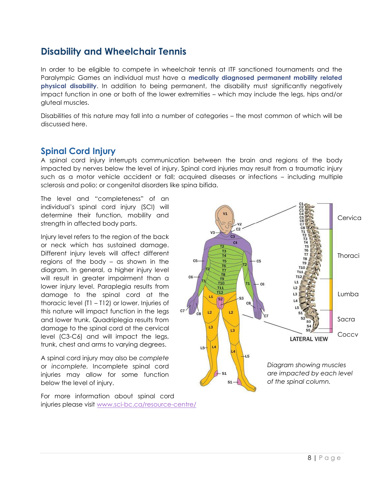# <span id="page-7-0"></span>**Disability and Wheelchair Tennis**

In order to be eligible to compete in wheelchair tennis at ITF sanctioned tournaments and the Paralympic Games an individual must have a **medically diagnosed permanent mobility related physical disability**. In addition to being permanent, the disability must significantly negatively impact function in one or both of the lower extremities – which may include the legs, hips and/or gluteal muscles.

Disabilities of this nature may fall into a number of categories – the most common of which will be discussed here.

## <span id="page-7-1"></span>**Spinal Cord Injury**

A spinal cord injury interrupts communication between the brain and regions of the body impacted by nerves below the level of injury. Spinal cord injuries may result from a traumatic injury such as a motor vehicle accident or fall; acquired diseases or infections – including multiple sclerosis and polio; or congenital disorders like spina bifida.

The level and "completeness" of an individual's spinal cord injury (SCI) will determine their function, mobility and strength in affected body parts.

Injury level refers to the region of the back or neck which has sustained damage. Different injury levels will affect different regions of the body – as shown in the diagram. In general, a higher injury level will result in greater impairment than a lower injury level. Paraplegia results from damage to the spinal cord at the thoracic level (T1 – T12) or lower. Injuries of this nature will impact function in the legs and lower trunk. Quadriplegia results from damage to the spinal cord at the cervical level (C3-C6) and will impact the legs, trunk, chest and arms to varying degrees.

A spinal cord injury may also be *complete* or *incomplete.* Incomplete spinal cord injuries may allow for some function below the level of injury.

For more information about spinal cord injuries please visit [www.sci-bc.ca/resource-centre/](http://www.sci-bc.ca/resource-centre/)

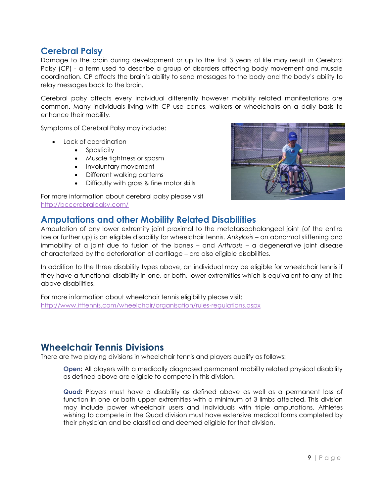## <span id="page-8-0"></span>**Cerebral Palsy**

Damage to the brain during development or up to the first 3 years of life may result in Cerebral Palsy (CP) - a term used to describe a group of disorders affecting body movement and muscle coordination. CP affects the brain's ability to send messages to the body and the body's ability to relay messages back to the brain.

Cerebral palsy affects every individual differently however mobility related manifestations are common. Many individuals living with CP use canes, walkers or wheelchairs on a daily basis to enhance their mobility.

Symptoms of Cerebral Palsy may include:

- Lack of coordination
	- Spasticity
	- Muscle tightness or spasm
	- Involuntary movement
	- Different walking patterns
	- Difficulty with gross & fine motor skills

#### For more information about cerebral palsy please visit <http://bccerebralpalsy.com/>

## <span id="page-8-1"></span>**Amputations and other Mobility Related Disabilities**

Amputation of any lower extremity joint proximal to the metatarsophalangeal joint (of the entire toe or further up) is an eligible disability for wheelchair tennis. *Ankylosis* – an abnormal stiffening and immobility of a joint due to fusion of the bones – and *Arthrosis* – a degenerative joint disease characterized by the deterioration of cartilage – are also eligible disabilities.

In addition to the three disability types above, an individual may be eligible for wheelchair tennis if they have a functional disability in one, or both, lower extremities which is equivalent to any of the above disabilities.

For more information about wheelchair tennis eligibility please visit: <http://www.itftennis.com/wheelchair/organisation/rules-regulations.aspx>

# <span id="page-8-2"></span>**Wheelchair Tennis Divisions**

There are two playing divisions in wheelchair tennis and players qualify as follows:

**Open:** All players with a medically diagnosed permanent mobility related physical disability as defined above are eligible to compete in this division.

**Quad:** Players must have a disability as defined above as well as a permanent loss of function in one or both upper extremities with a minimum of 3 limbs affected. This division may include power wheelchair users and individuals with triple amputations. Athletes wishing to compete in the Quad division must have extensive medical forms completed by their physician and be classified and deemed eligible for that division.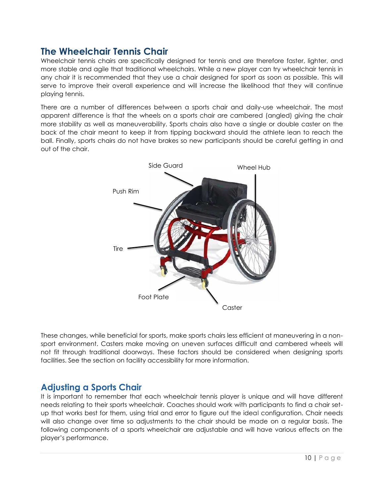# <span id="page-9-0"></span>**The Wheelchair Tennis Chair**

Wheelchair tennis chairs are specifically designed for tennis and are therefore faster, lighter, and more stable and agile that traditional wheelchairs. While a new player can try wheelchair tennis in any chair it is recommended that they use a chair designed for sport as soon as possible. This will serve to improve their overall experience and will increase the likelihood that they will continue playing tennis.

There are a number of differences between a sports chair and daily-use wheelchair. The most apparent difference is that the wheels on a sports chair are cambered (angled) giving the chair more stability as well as maneuverability. Sports chairs also have a single or double caster on the back of the chair meant to keep it from tipping backward should the athlete lean to reach the ball. Finally, sports chairs do not have brakes so new participants should be careful getting in and out of the chair.



These changes, while beneficial for sports, make sports chairs less efficient at maneuvering in a nonsport environment. Casters make moving on uneven surfaces difficult and cambered wheels will not fit through traditional doorways. These factors should be considered when designing sports facilities. See the section on facility accessibility for more information.

## <span id="page-9-1"></span>**Adjusting a Sports Chair**

It is important to remember that each wheelchair tennis player is unique and will have different needs relating to their sports wheelchair. Coaches should work with participants to find a chair setup that works best for them, using trial and error to figure out the ideal configuration. Chair needs will also change over time so adjustments to the chair should be made on a regular basis. The following components of a sports wheelchair are adjustable and will have various effects on the player's performance.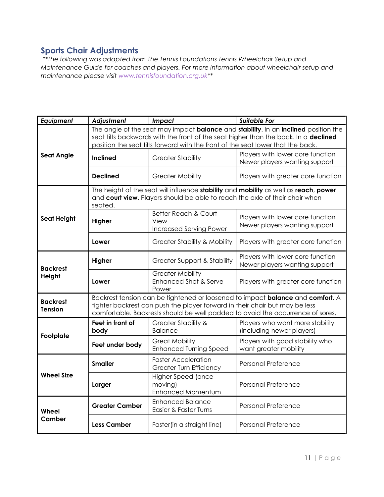## **Sports Chair Adjustments**

*\*\*The following was adapted from The Tennis Foundations Tennis Wheelchair Setup and Maintenance Guide for coaches and players. For more information about wheelchair setup and maintenance please visit [www.tennisfoundation.org.uk](http://www.tennisfoundation.org.uk**/)*\*\*

| Equipment                         | Adjustment                                                                                                                                                                                                                                                     | Impact                                                                    | <b>Suitable For</b>                                               |  |
|-----------------------------------|----------------------------------------------------------------------------------------------------------------------------------------------------------------------------------------------------------------------------------------------------------------|---------------------------------------------------------------------------|-------------------------------------------------------------------|--|
|                                   | The angle of the seat may impact balance and stability. In an inclined position the<br>seat tilts backwards with the front of the seat higher than the back. In a declined<br>position the seat tilts forward with the front of the seat lower that the back.  |                                                                           |                                                                   |  |
| <b>Seat Angle</b>                 | <b>Inclined</b>                                                                                                                                                                                                                                                | <b>Greater Stability</b>                                                  | Players with lower core function<br>Newer players wanting support |  |
|                                   | <b>Declined</b>                                                                                                                                                                                                                                                | <b>Greater Mobility</b>                                                   | Players with greater core function                                |  |
|                                   | The height of the seat will influence stability and mobility as well as reach, power<br>and court view. Players should be able to reach the axle of their chair when<br>seated.                                                                                |                                                                           |                                                                   |  |
| <b>Seat Height</b>                | Higher                                                                                                                                                                                                                                                         | <b>Better Reach &amp; Court</b><br>View<br><b>Increased Serving Power</b> | Players with lower core function<br>Newer players wanting support |  |
|                                   | Lower                                                                                                                                                                                                                                                          | <b>Greater Stability &amp; Mobility</b>                                   | Players with greater core function                                |  |
| <b>Backrest</b><br>Height         | Higher                                                                                                                                                                                                                                                         | <b>Greater Support &amp; Stability</b>                                    | Players with lower core function<br>Newer players wanting support |  |
|                                   | Lower                                                                                                                                                                                                                                                          | <b>Greater Mobility</b><br><b>Enhanced Shot &amp; Serve</b><br>Power      | Players with greater core function                                |  |
| <b>Backrest</b><br><b>Tension</b> | Backrest tension can be tightened or loosened to impact <b>balance</b> and <b>comfort</b> . A<br>tighter backrest can push the player forward in their chair but may be less<br>comfortable. Backrests should be well padded to avoid the occurrence of sores. |                                                                           |                                                                   |  |
| Footplate                         | Feet in front of<br>body                                                                                                                                                                                                                                       | <b>Greater Stability &amp;</b><br><b>Balance</b>                          | Players who want more stability<br>(including newer players)      |  |
|                                   | Feet under body                                                                                                                                                                                                                                                | <b>Great Mobility</b><br><b>Enhanced Turning Speed</b>                    | Players with good stability who<br>want greater mobility          |  |
| <b>Wheel Size</b>                 | <b>Smaller</b>                                                                                                                                                                                                                                                 | <b>Faster Acceleration</b><br><b>Greater Turn Efficiency</b>              | Personal Preference                                               |  |
|                                   | Larger                                                                                                                                                                                                                                                         | Higher Speed (once<br>moving)<br><b>Enhanced Momentum</b>                 | <b>Personal Preference</b>                                        |  |
| Wheel<br>Camber                   | <b>Greater Camber</b>                                                                                                                                                                                                                                          | <b>Enhanced Balance</b><br>Easier & Faster Turns                          | <b>Personal Preference</b>                                        |  |
|                                   | Less Camber                                                                                                                                                                                                                                                    | Faster(in a straight line)                                                | <b>Personal Preference</b>                                        |  |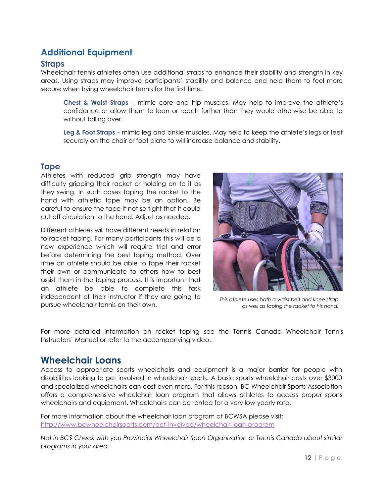# <span id="page-11-0"></span>**Additional Equipment**

#### **Straps**

Wheelchair tennis athletes often use additional straps to enhance their stability and strength in key areas. Using straps may improve participants' stability and balance and help them to feel more secure when trying wheelchair tennis for the first time.

**Chest & Waist Straps** – mimic core and hip muscles. May help to improve the athlete's confidence or allow them to lean or reach further than they would otherwise be able to without falling over.

**Leg & Foot Straps** – mimic leg and ankle muscles. May help to keep the athlete's legs or feet securely on the chair or foot plate to will increase balance and stability.

### **Tape**

Athletes with reduced grip strength may have difficulty gripping their racket or holding on to it as they swing. In such cases taping the racket to the hand with athletic tape may be an option. Be careful to ensure the tape it not so tight that it could cut off circulation to the hand. Adjust as needed.

Different athletes will have different needs in relation to racket taping. For many participants this will be a new experience which will require trial and error before determining the best taping method. Over time an athlete should be able to tape their racket their own or communicate to others how to best assist them in the taping process. It is important that an athlete be able to complete this task independent of their instructor if they are going to pursue wheelchair tennis on their own.



*This athlete uses both a waist belt and knee strap as well as taping the racket to his hand.*

For more detailed information on racket taping see the Tennis Canada Wheelchair Tennis Instructors' Manual or refer to the accompanying video.

## <span id="page-11-1"></span>**Wheelchair Loans**

Access to appropriate sports wheelchairs and equipment is a major barrier for people with disabilities looking to get involved in wheelchair sports. A basic sports wheelchair costs over \$3000 and specialized wheelchairs can cost even more. For this reason, BC Wheelchair Sports Association offers a comprehensive wheelchair loan program that allows athletes to access proper sports wheelchairs and equipment. Wheelchairs can be rented for a very low yearly rate.

For more information about the wheelchair loan program at BCWSA please visit: <http://www.bcwheelchairsports.com/get-involved/wheelchair-loan-program>

*Not in BC? Check with you Provincial Wheelchair Sport Organization or Tennis Canada about similar programs in your area.*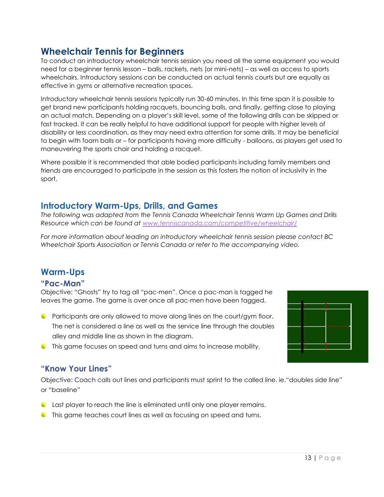# <span id="page-12-0"></span>**Wheelchair Tennis for Beginners**

To conduct an introductory wheelchair tennis session you need all the same equipment you would need for a beginner tennis lesson – balls, rackets, nets (or mini-nets) – as well as access to sports wheelchairs. Introductory sessions can be conducted on actual tennis courts but are equally as effective in gyms or alternative recreation spaces.

Introductory wheelchair tennis sessions typically run 30-60 minutes. In this time span it is possible to get brand new participants holding racquets, bouncing balls, and finally, getting close to playing an actual match. Depending on a player's skill level, some of the following drills can be skipped or fast tracked. It can be really helpful to have additional support for people with higher levels of disability or less coordination, as they may need extra attention for some drills. It may be beneficial to begin with foam balls or – for participants having more difficulty - balloons, as players get used to maneuvering the sports chair and holding a racquet.

Where possible it is recommended that able bodied participants including family members and friends are encouraged to participate in the session as this fosters the notion of inclusivity in the sport.

## <span id="page-12-1"></span>**Introductory Warm-Ups, Drills, and Games**

*The following was adapted from the Tennis Canada Wheelchair Tennis Warm Up Games and Drills Resource which can be found at [www.tenniscanada.com/competitive/wheelchair/](http://www.tenniscanada.com/competitive/wheelchair/)*

*For more information about leading an introductory wheelchair tennis session please contact BC Wheelchair Sports Association or Tennis Canada or refer to the accompanying video.*

## **Warm-Ups**

#### **"Pac-Man"**

Objective: "Ghosts" try to tag all "pac-men". Once a pac-man is tagged he leaves the game. The game is over once all pac-men have been tagged.

- Participants are only allowed to move along lines on the court/gym floor. The net is considered a line as well as the service line through the doubles alley and middle line as shown in the diagram.
- 
- This game focuses on speed and turns and aims to increase mobility.

## **"Know Your Lines"**

Objective: Coach calls out lines and participants must sprint to the called line. ie."doubles side line" or "baseline"

- Last player to reach the line is eliminated until only one player remains.
- This game teaches court lines as well as focusing on speed and turns.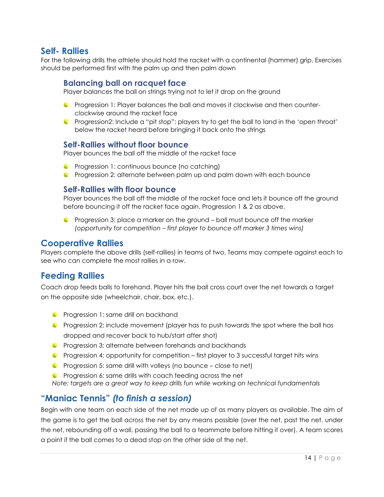## **Self- Rallies**

For the following drills the athlete should hold the racket with a continental (hammer) grip. Exercises should be performed first with the palm up and then palm down

### **Balancing ball on racquet face**

Player balances the ball on strings trying not to let it drop on the ground

- Progression 1: Player balances the ball and moves it clockwise and then counterclockwise around the racket face
- Progression2: Include a "pit stop": players try to get the ball to land in the 'open throat' below the racket heard before bringing it back onto the strings

#### **Self-Rallies without floor bounce**

Player bounces the ball off the middle of the racket face

- **C** Progression 1: continuous bounce (no catching)
- Progression 2: alternate between palm up and palm down with each bounce

#### **Self-Rallies with floor bounce**

Player bounces the ball off the middle of the racket face and lets it bounce off the ground before bouncing it off the racket face again. Progression 1 & 2 as above.

Progression 3: place a marker on the ground – ball must bounce off the marker *(opportunity for competition – first player to bounce off marker 3 times wins)*

### **Cooperative Rallies**

Players complete the above drills (self-rallies) in teams of two. Teams may compete against each to see who can complete the most rallies in a row.

## **Feeding Rallies**

Coach drop feeds balls to forehand. Player hits the ball cross court over the net towards a target on the opposite side (wheelchair, chair, box, etc.).

- **Progression 1: same drill on backhand**
- Progression 2: include movement (player has to push towards the spot where the ball has dropped and recover back to hub/start after shot)
- **C** Progression 3: alternate between forehands and backhands
- Progression 4: opportunity for competition first player to 3 successful target hits wins
- **Progression 5: same drill with volleys (no bounce close to net)**
- **C** Progression 6: same drills with coach feeding across the net *Note: targets are a great way to keep drills fun while working on technical fundamentals*

## **"Maniac Tennis"** *(to finish a session)*

Begin with one team on each side of the net made up of as many players as available. The aim of the game is to get the ball across the net by any means possible (over the net, past the net, under the net, rebounding off a wall, passing the ball to a teammate before hitting it over). A team scores a point if the ball comes to a dead stop on the other side of the net.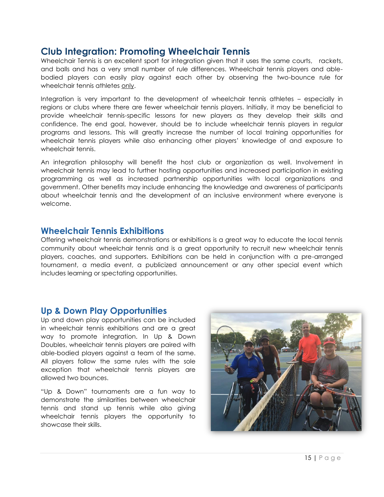# <span id="page-14-0"></span>**Club Integration: Promoting Wheelchair Tennis**

Wheelchair Tennis is an excellent sport for integration given that it uses the same courts, rackets, and balls and has a very small number of rule differences. Wheelchair tennis players and ablebodied players can easily play against each other by observing the two-bounce rule for wheelchair tennis athletes only.

Integration is very important to the development of wheelchair tennis athletes – especially in regions or clubs where there are fewer wheelchair tennis players. Initially, it may be beneficial to provide wheelchair tennis-specific lessons for new players as they develop their skills and confidence. The end goal, however, should be to include wheelchair tennis players in regular programs and lessons. This will greatly increase the number of local training opportunities for wheelchair tennis players while also enhancing other players' knowledge of and exposure to wheelchair tennis.

An integration philosophy will benefit the host club or organization as well. Involvement in wheelchair tennis may lead to further hosting opportunities and increased participation in existing programming as well as increased partnership opportunities with local organizations and government. Other benefits may include enhancing the knowledge and awareness of participants about wheelchair tennis and the development of an inclusive environment where everyone is welcome.

## <span id="page-14-1"></span>**Wheelchair Tennis Exhibitions**

Offering wheelchair tennis demonstrations or exhibitions is a great way to educate the local tennis community about wheelchair tennis and is a great opportunity to recruit new wheelchair tennis players, coaches, and supporters. Exhibitions can be held in conjunction with a pre-arranged tournament, a media event, a publicized announcement or any other special event which includes learning or spectating opportunities.

## <span id="page-14-2"></span>**Up & Down Play Opportunities**

Up and down play opportunities can be included in wheelchair tennis exhibitions and are a great way to promote integration. In Up & Down Doubles, wheelchair tennis players are paired with able-bodied players against a team of the same. All players follow the same rules with the sole exception that wheelchair tennis players are allowed two bounces.

"Up & Down" tournaments are a fun way to demonstrate the similarities between wheelchair tennis and stand up tennis while also giving wheelchair tennis players the opportunity to showcase their skills.

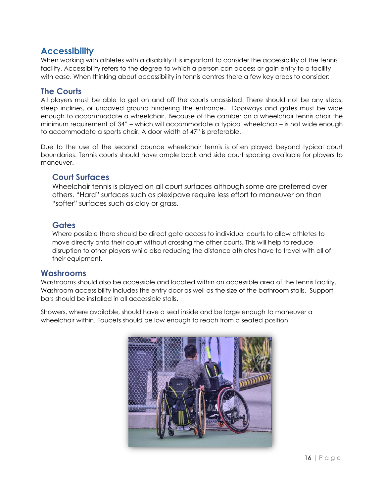## <span id="page-15-0"></span>**Accessibility**

When working with athletes with a disability it is important to consider the accessibility of the tennis facility. Accessibility refers to the degree to which a person can access or gain entry to a facility with ease. When thinking about accessibility in tennis centres there a few key areas to consider:

## **The Courts**

All players must be able to get on and off the courts unassisted. There should not be any steps, steep inclines, or unpaved ground hindering the entrance. Doorways and gates must be wide enough to accommodate a wheelchair. Because of the camber on a wheelchair tennis chair the minimum requirement of 34" – which will accommodate a typical wheelchair – is not wide enough to accommodate a sports chair. A door width of 47" is preferable.

Due to the use of the second bounce wheelchair tennis is often played beyond typical court boundaries. Tennis courts should have ample back and side court spacing available for players to maneuver.

#### **Court Surfaces**

Wheelchair tennis is played on all court surfaces although some are preferred over others. "Hard" surfaces such as plexipave require less effort to maneuver on than "softer" surfaces such as clay or grass.

## **Gates**

Where possible there should be direct gate access to individual courts to allow athletes to move directly onto their court without crossing the other courts. This will help to reduce disruption to other players while also reducing the distance athletes have to travel with all of their equipment.

#### **Washrooms**

Washrooms should also be accessible and located within an accessible area of the tennis facility. Washroom accessibility includes the entry door as well as the size of the bathroom stalls. Support bars should be installed in all accessible stalls.

Showers, where available, should have a seat inside and be large enough to maneuver a wheelchair within. Faucets should be low enough to reach from a seated position.